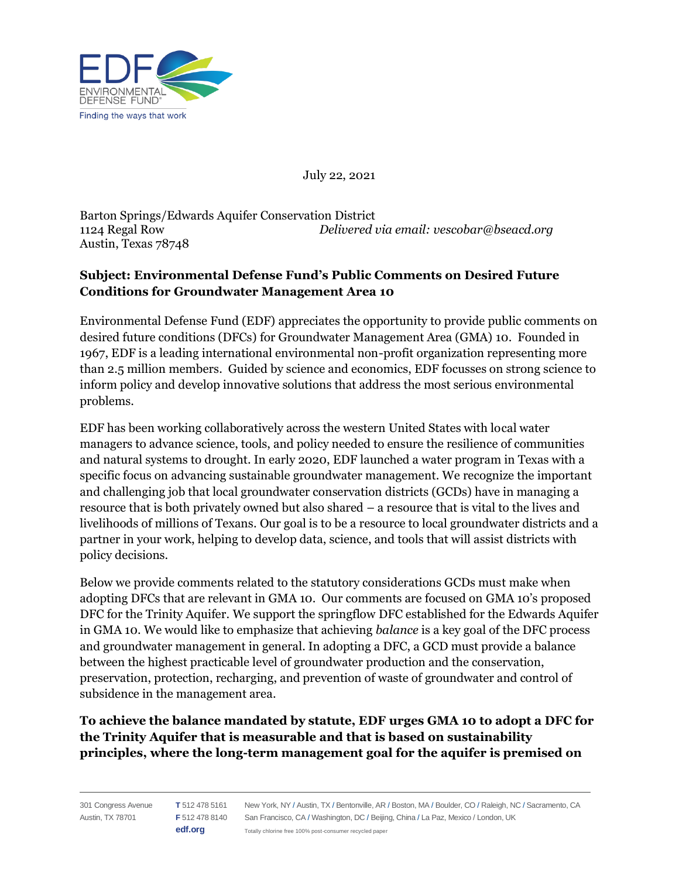

July 22, 2021

Barton Springs/Edwards Aquifer Conservation District 1124 Regal Row *Delivered via email: vescobar@bseacd.org* Austin, Texas 78748

## **Subject: Environmental Defense Fund's Public Comments on Desired Future Conditions for Groundwater Management Area 10**

Environmental Defense Fund (EDF) appreciates the opportunity to provide public comments on desired future conditions (DFCs) for Groundwater Management Area (GMA) 10. Founded in 1967, EDF is a leading international environmental non-profit organization representing more than 2.5 million members. Guided by science and economics, EDF focusses on strong science to inform policy and develop innovative solutions that address the most serious environmental problems.

EDF has been working collaboratively across the western United States with local water managers to advance science, tools, and policy needed to ensure the resilience of communities and natural systems to drought. In early 2020, EDF launched a water program in Texas with a specific focus on advancing sustainable groundwater management. We recognize the important and challenging job that local groundwater conservation districts (GCDs) have in managing a resource that is both privately owned but also shared – a resource that is vital to the lives and livelihoods of millions of Texans. Our goal is to be a resource to local groundwater districts and a partner in your work, helping to develop data, science, and tools that will assist districts with policy decisions.

Below we provide comments related to the statutory considerations GCDs must make when adopting DFCs that are relevant in GMA 10. Our comments are focused on GMA 10's proposed DFC for the Trinity Aquifer. We support the springflow DFC established for the Edwards Aquifer in GMA 10. We would like to emphasize that achieving *balance* is a key goal of the DFC process and groundwater management in general. In adopting a DFC, a GCD must provide a balance between the highest practicable level of groundwater production and the conservation, preservation, protection, recharging, and prevention of waste of groundwater and control of subsidence in the management area.

**To achieve the balance mandated by statute, EDF urges GMA 10 to adopt a DFC for the Trinity Aquifer that is measurable and that is based on sustainability principles, where the long-term management goal for the aquifer is premised on**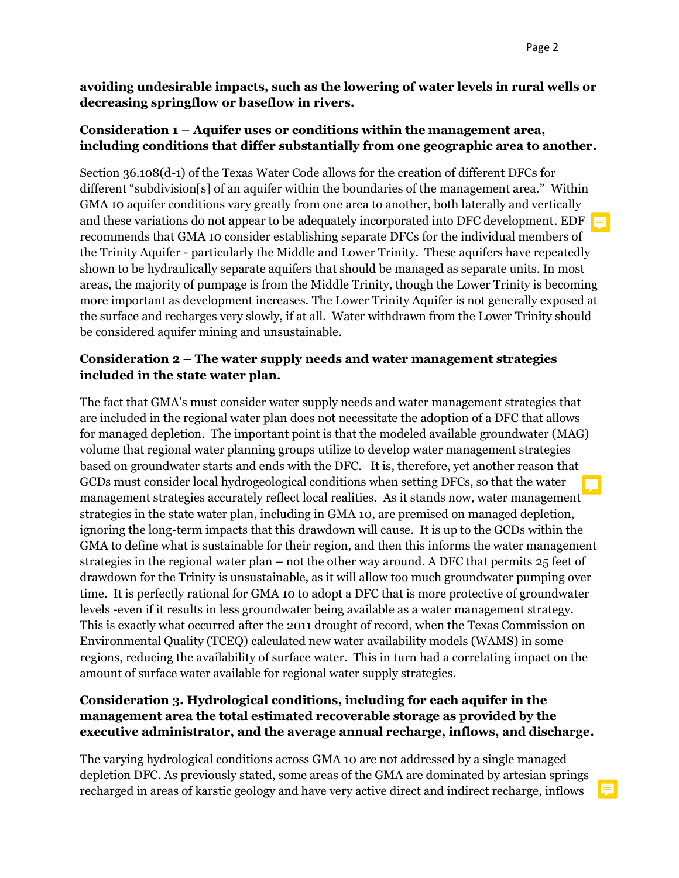**avoiding undesirable impacts, such as the lowering of water levels in rural wells or decreasing springflow or baseflow in rivers.** 

### **Consideration 1 – Aquifer uses or conditions within the management area, including conditions that differ substantially from one geographic area to another.**

Section 36.108(d-1) of the Texas Water Code allows for the creation of different DFCs for different "subdivision[s] of an aquifer within the boundaries of the management area." Within GMA 10 aquifer conditions vary greatly from one area to another, both laterally and vertically and these variations do not appear to be adequately incorporated into DFC development. EDF recommends that GMA 10 consider establishing separate DFCs for the individual members of the Trinity Aquifer - particularly the Middle and Lower Trinity. These aquifers have repeatedly shown to be hydraulically separate aquifers that should be managed as separate units. In most areas, the majority of pumpage is from the Middle Trinity, though the Lower Trinity is becoming more important as development increases. The Lower Trinity Aquifer is not generally exposed at the surface and recharges very slowly, if at all. Water withdrawn from the Lower Trinity should be considered aquifer mining and unsustainable.

#### **Consideration 2 – The water supply needs and water management strategies included in the state water plan.**

The fact that GMA's must consider water supply needs and water management strategies that are included in the regional water plan does not necessitate the adoption of a DFC that allows for managed depletion. The important point is that the modeled available groundwater (MAG) volume that regional water planning groups utilize to develop water management strategies based on groundwater starts and ends with the DFC. It is, therefore, yet another reason that GCDs must consider local hydrogeological conditions when setting DFCs, so that the water management strategies accurately reflect local realities. As it stands now, water management strategies in the state water plan, including in GMA 10, are premised on managed depletion, ignoring the long-term impacts that this drawdown will cause. It is up to the GCDs within the GMA to define what is sustainable for their region, and then this informs the water management strategies in the regional water plan – not the other way around. A DFC that permits 25 feet of drawdown for the Trinity is unsustainable, as it will allow too much groundwater pumping over time. It is perfectly rational for GMA 10 to adopt a DFC that is more protective of groundwater levels -even if it results in less groundwater being available as a water management strategy. This is exactly what occurred after the 2011 drought of record, when the Texas Commission on Environmental Quality (TCEQ) calculated new water availability models (WAMS) in some regions, reducing the availability of surface water. This in turn had a correlating impact on the amount of surface water available for regional water supply strategies.

## **Consideration 3. Hydrological conditions, including for each aquifer in the management area the total estimated recoverable storage as provided by the executive administrator, and the average annual recharge, inflows, and discharge.**

The varying hydrological conditions across GMA 10 are not addressed by a single managed depletion DFC. As previously stated, some areas of the GMA are dominated by artesian springs recharged in areas of karstic geology and have very active direct and indirect recharge, inflows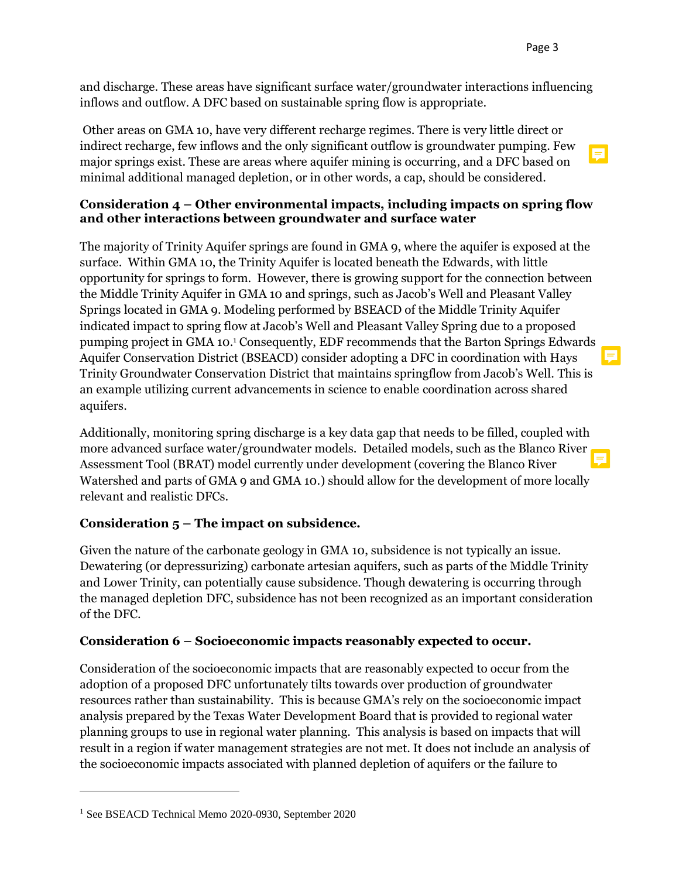E.

and discharge. These areas have significant surface water/groundwater interactions influencing inflows and outflow. A DFC based on sustainable spring flow is appropriate.

Other areas on GMA 10, have very different recharge regimes. There is very little direct or indirect recharge, few inflows and the only significant outflow is groundwater pumping. Few major springs exist. These are areas where aquifer mining is occurring, and a DFC based on minimal additional managed depletion, or in other words, a cap, should be considered.

#### **Consideration 4 – Other environmental impacts, including impacts on spring flow and other interactions between groundwater and surface water**

The majority of Trinity Aquifer springs are found in GMA 9, where the aquifer is exposed at the surface. Within GMA 10, the Trinity Aquifer is located beneath the Edwards, with little opportunity for springs to form. However, there is growing support for the connection between the Middle Trinity Aquifer in GMA 10 and springs, such as Jacob's Well and Pleasant Valley Springs located in GMA 9. Modeling performed by BSEACD of the Middle Trinity Aquifer indicated impact to spring flow at Jacob's Well and Pleasant Valley Spring due to a proposed pumping project in GMA 10.<sup>1</sup> Consequently, EDF recommends that the Barton Springs Edwards Aquifer Conservation District (BSEACD) consider adopting a DFC in coordination with Hays Trinity Groundwater Conservation District that maintains springflow from Jacob's Well. This is an example utilizing current advancements in science to enable coordination across shared aquifers.

Additionally, monitoring spring discharge is a key data gap that needs to be filled, coupled with more advanced surface water/groundwater models. Detailed models, such as the Blanco River Assessment Tool (BRAT) model currently under development (covering the Blanco River Watershed and parts of GMA 9 and GMA 10.) should allow for the development of more locally relevant and realistic DFCs.

### **Consideration 5 – The impact on subsidence.**

Given the nature of the carbonate geology in GMA 10, subsidence is not typically an issue. Dewatering (or depressurizing) carbonate artesian aquifers, such as parts of the Middle Trinity and Lower Trinity, can potentially cause subsidence. Though dewatering is occurring through the managed depletion DFC, subsidence has not been recognized as an important consideration of the DFC.

### **Consideration 6 – Socioeconomic impacts reasonably expected to occur.**

Consideration of the socioeconomic impacts that are reasonably expected to occur from the adoption of a proposed DFC unfortunately tilts towards over production of groundwater resources rather than sustainability. This is because GMA's rely on the socioeconomic impact analysis prepared by the Texas Water Development Board that is provided to regional water planning groups to use in regional water planning. This analysis is based on impacts that will result in a region if water management strategies are not met. It does not include an analysis of the socioeconomic impacts associated with planned depletion of aquifers or the failure to

<sup>1</sup> See BSEACD Technical Memo 2020-0930, September 2020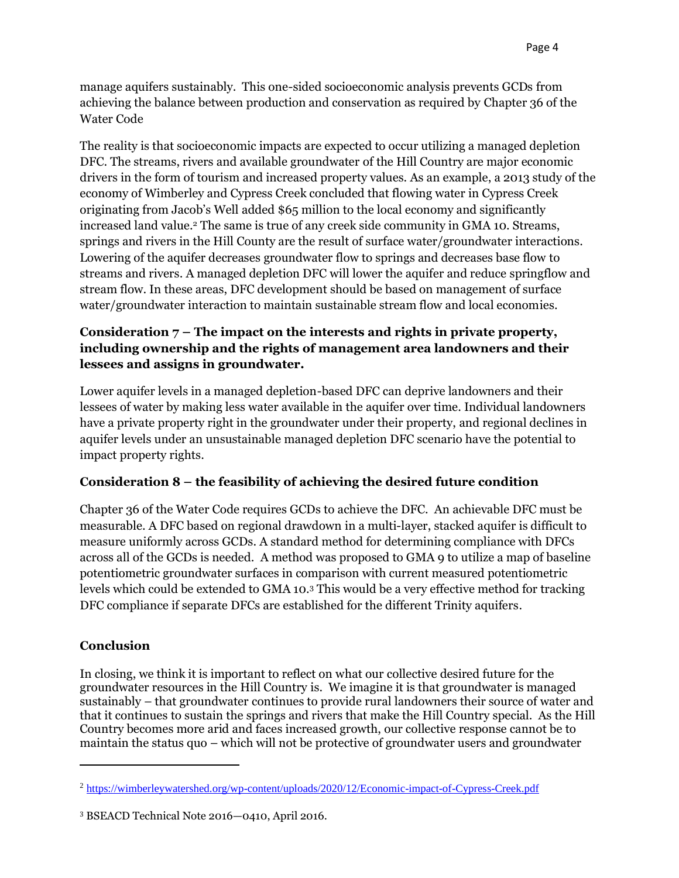manage aquifers sustainably. This one-sided socioeconomic analysis prevents GCDs from achieving the balance between production and conservation as required by Chapter 36 of the Water Code

The reality is that socioeconomic impacts are expected to occur utilizing a managed depletion DFC. The streams, rivers and available groundwater of the Hill Country are major economic drivers in the form of tourism and increased property values. As an example, a 2013 study of the economy of Wimberley and Cypress Creek concluded that flowing water in Cypress Creek originating from Jacob's Well added \$65 million to the local economy and significantly increased land value.<sup>2</sup> The same is true of any creek side community in GMA 10. Streams, springs and rivers in the Hill County are the result of surface water/groundwater interactions. Lowering of the aquifer decreases groundwater flow to springs and decreases base flow to streams and rivers. A managed depletion DFC will lower the aquifer and reduce springflow and stream flow. In these areas, DFC development should be based on management of surface water/groundwater interaction to maintain sustainable stream flow and local economies.

## **Consideration 7 – The impact on the interests and rights in private property, including ownership and the rights of management area landowners and their lessees and assigns in groundwater.**

Lower aquifer levels in a managed depletion-based DFC can deprive landowners and their lessees of water by making less water available in the aquifer over time. Individual landowners have a private property right in the groundwater under their property, and regional declines in aquifer levels under an unsustainable managed depletion DFC scenario have the potential to impact property rights.

# **Consideration 8 – the feasibility of achieving the desired future condition**

Chapter 36 of the Water Code requires GCDs to achieve the DFC. An achievable DFC must be measurable. A DFC based on regional drawdown in a multi-layer, stacked aquifer is difficult to measure uniformly across GCDs. A standard method for determining compliance with DFCs across all of the GCDs is needed. A method was proposed to GMA 9 to utilize a map of baseline potentiometric groundwater surfaces in comparison with current measured potentiometric levels which could be extended to GMA 10. <sup>3</sup> This would be a very effective method for tracking DFC compliance if separate DFCs are established for the different Trinity aquifers.

### **Conclusion**

In closing, we think it is important to reflect on what our collective desired future for the groundwater resources in the Hill Country is. We imagine it is that groundwater is managed sustainably – that groundwater continues to provide rural landowners their source of water and that it continues to sustain the springs and rivers that make the Hill Country special. As the Hill Country becomes more arid and faces increased growth, our collective response cannot be to maintain the status quo – which will not be protective of groundwater users and groundwater

<sup>2</sup> <https://wimberleywatershed.org/wp-content/uploads/2020/12/Economic-impact-of-Cypress-Creek.pdf>

<sup>3</sup> BSEACD Technical Note 2016—0410, April 2016.